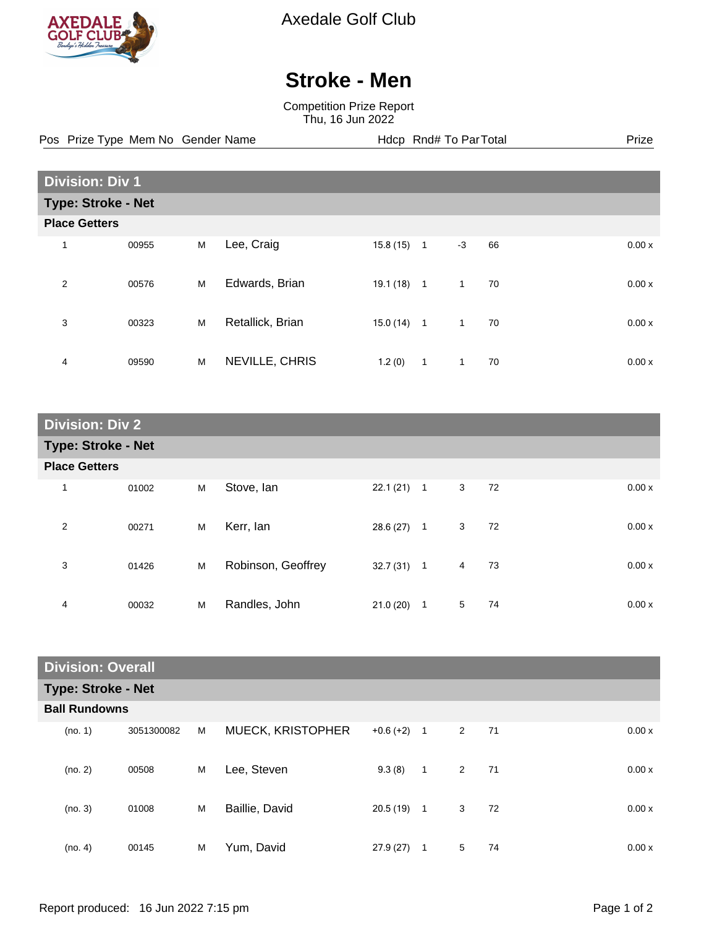

Axedale Golf Club

## **Stroke - Men**

Competition Prize Report Thu, 16 Jun 2022

Pos Prize Type Mem No Gender Name **Health Hotel Rnd# To ParTotal** Prize

| <b>Division: Div 1</b>    |       |   |                  |          |                |              |    |       |
|---------------------------|-------|---|------------------|----------|----------------|--------------|----|-------|
| <b>Type: Stroke - Net</b> |       |   |                  |          |                |              |    |       |
| <b>Place Getters</b>      |       |   |                  |          |                |              |    |       |
| 1                         | 00955 | M | Lee, Craig       | 15.8(15) | $\mathbf{1}$   | $-3$         | 66 | 0.00x |
| $\overline{2}$            | 00576 | M | Edwards, Brian   | 19.1(18) | $\mathbf{1}$   | $\mathbf{1}$ | 70 | 0.00x |
| 3                         | 00323 | M | Retallick, Brian | 15.0(14) | $\overline{1}$ | 1            | 70 | 0.00x |
| 4                         | 09590 | M | NEVILLE, CHRIS   | 1.2(0)   | 1              | $\mathbf{1}$ | 70 | 0.00x |

| <b>Division: Div 2</b> |                           |   |                    |              |                |   |    |       |
|------------------------|---------------------------|---|--------------------|--------------|----------------|---|----|-------|
|                        | <b>Type: Stroke - Net</b> |   |                    |              |                |   |    |       |
| <b>Place Getters</b>   |                           |   |                    |              |                |   |    |       |
| 1                      | 01002                     | M | Stove, Ian         | $22.1(21)$ 1 |                | 3 | 72 | 0.00x |
| 2                      | 00271                     | M | Kerr, lan          | $28.6(27)$ 1 |                | 3 | 72 | 0.00x |
| 3                      | 01426                     | M | Robinson, Geoffrey | $32.7(31)$ 1 |                | 4 | 73 | 0.00x |
| 4                      | 00032                     | M | Randles, John      | 21.0(20)     | $\overline{1}$ | 5 | 74 | 0.00x |

| <b>Division: Overall</b>  |            |   |                   |               |              |                |    |       |
|---------------------------|------------|---|-------------------|---------------|--------------|----------------|----|-------|
| <b>Type: Stroke - Net</b> |            |   |                   |               |              |                |    |       |
| <b>Ball Rundowns</b>      |            |   |                   |               |              |                |    |       |
| (no. 1)                   | 3051300082 | M | MUECK, KRISTOPHER | $+0.6 (+2)$ 1 |              | $\overline{2}$ | 71 | 0.00x |
| (no. 2)                   | 00508      | M | Lee, Steven       | 9.3(8)        | $\mathbf 1$  | $\overline{2}$ | 71 | 0.00x |
| (no. 3)                   | 01008      | M | Baillie, David    | 20.5(19)      | $\mathbf{1}$ | 3              | 72 | 0.00x |
| (no. 4)                   | 00145      | M | Yum, David        | 27.9 (27)     | 1            | 5              | 74 | 0.00x |